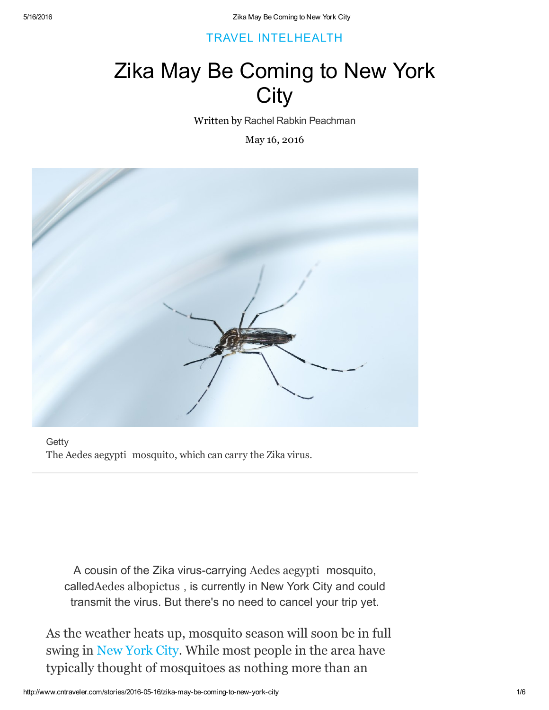## [TRAVEL](http://www.cntraveler.com/travel-intel) INTEL[HEALTH](http://www.cntraveler.com/travel-intel/health)

## Zika May Be Coming to New York **City**

Written by Rachel Rabkin [Peachman](http://www.cntraveler.com/contributors/rachel-rabkin-peachman)

May 16, 2016



**Getty** The Aedes aegypti mosquito, which can carry the Zika virus.

A cousin of the Zika virus-carrying Aedes aegypti mosquito, calledAedes albopictus , is currently in New York City and could transmit the virus. But there's no need to cancel your trip yet.

As the weather heats up, mosquito season will soon be in full swing in New [York](http://www.cntraveler.com/destinations/new-york-city) City. While most people in the area have typically thought of mosquitoes as nothing more than an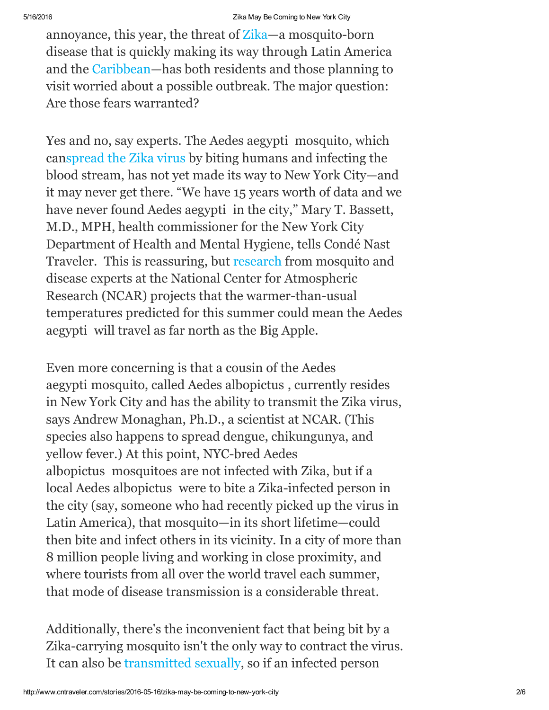annoyance, this year, the threat of  $\chi$  annosquito-born disease that is quickly making its way through Latin America and the [Caribbean](http://www.cntraveler.com/galleries/2016-03-02/most-beautiful-islands-in-the-caribbean)—has both residents and those planning to visit worried about a possible outbreak. The major question: Are those fears warranted?

Yes and no, say experts. The Aedes aegypti mosquito, which can[spread](http://www.cntraveler.com/stories/2016-02-01/who-zika-virus-is-a-global-emergency-on-par-with-ebola) the Zika virus by biting humans and infecting the blood stream, has not yet made its way to New York City—and it may never get there. "We have 15 years worth of data and we have never found Aedes aegypti in the city," Mary T. Bassett, M.D., MPH, health commissioner for the New York City Department of Health and Mental Hygiene, tells Condé Nast Traveler. This is reassuring, but [research](http://www2.ucar.edu/atmosnews/news/19850/potential-zika-virus-risk-estimated-50-us-cities) from mosquito and disease experts at the National Center for Atmospheric Research (NCAR) projects that the warmer-than-usual temperatures predicted for this summer could mean the Aedes aegypti will travel as far north as the Big Apple.

Even more concerning is that a cousin of the Aedes aegypti mosquito, called Aedes albopictus , currently resides in New York City and has the ability to transmit the Zika virus, says Andrew Monaghan, Ph.D., a scientist at NCAR. (This species also happens to spread dengue, chikungunya, and yellow fever.) At this point, NYC-bred Aedes albopictus mosquitoes are not infected with Zika, but if a local Aedes albopictus were to bite a Zika-infected person in the city (say, someone who had recently picked up the virus in Latin America), that mosquito—in its short lifetime—could then bite and infect others in its vicinity. In a city of more than 8 million people living and working in close proximity, and where tourists from all over the world travel each summer, that mode of disease transmission is a considerable threat.

Additionally, there's the inconvenient fact that being bit by a Zika-carrying mosquito isn't the only way to contract the virus. It can also be [transmitted](http://www.cntraveler.com/stories/2016-01-25/zika-virus-expected-to-spread-across-most-of-the-americas) sexually, so if an infected person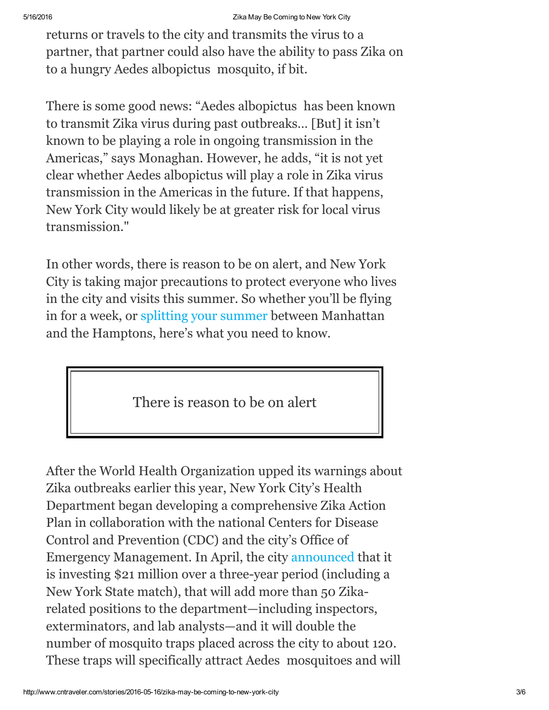returns or travels to the city and transmits the virus to a partner, that partner could also have the ability to pass Zika on to a hungry Aedes albopictus mosquito, if bit.

There is some good news: "Aedes albopictus has been known to transmit Zika virus during past outbreaks… [But] it isn't known to be playing a role in ongoing transmission in the Americas," says Monaghan. However, he adds, "it is not yet clear whether Aedes albopictus will play a role in Zika virus transmission in the Americas in the future. If that happens, New York City would likely be at greater risk for local virus transmission."

In other words, there is reason to be on alert, and New York City is taking major precautions to protect everyone who lives in the city and visits this summer. So whether you'll be flying in for a week, or [splitting](http://www.cntraveler.com/galleries/2016-05-12/8-easy-weekend-getaways-from-new-york-city) your summer between Manhattan and the Hamptons, here's what you need to know.

There is reason to be on alert

After the World Health Organization upped its warnings about Zika outbreaks earlier this year, New York City's Health Department began developing a comprehensive Zika Action Plan in collaboration with the national Centers for Disease Control and Prevention (CDC) and the city's Office of Emergency Management. In April, the city [announced](https://www1.nyc.gov/site/doh/about/press/pr2016/pr026-16.page) that it is investing \$21 million over a three-year period (including a New York State match), that will add more than 50 Zikarelated positions to the department—including inspectors, exterminators, and lab analysts—and it will double the number of mosquito traps placed across the city to about 120. These traps will specifically attract Aedes mosquitoes and will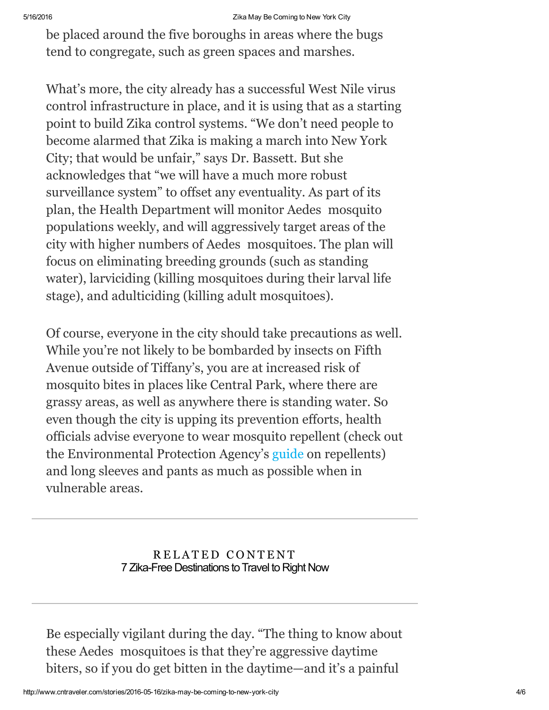be placed around the five boroughs in areas where the bugs tend to congregate, such as green spaces and marshes.

What's more, the city already has a successful West Nile virus control infrastructure in place, and it is using that as a starting point to build Zika control systems. "We don't need people to become alarmed that Zika is making a march into New York City; that would be unfair," says Dr. Bassett. But she acknowledges that "we will have a much more robust surveillance system" to offset any eventuality. As part of its plan, the Health Department will monitor Aedes mosquito populations weekly, and will aggressively target areas of the city with higher numbers of Aedes mosquitoes. The plan will focus on eliminating breeding grounds (such as standing water), larviciding (killing mosquitoes during their larval life stage), and adulticiding (killing adult mosquitoes).

Of course, everyone in the city should take precautions as well. While you're not likely to be bombarded by insects on Fifth Avenue outside of Tiffany's, you are at increased risk of mosquito bites in places like Central Park, where there are grassy areas, as well as anywhere there is standing water. So even though the city is upping its prevention efforts, health officials advise everyone to wear mosquito repellent (check out the Environmental Protection Agency's [guide](http://www2.epa.gov/insect-repellents/find-insect-repellent-right-you) on repellents) and long sleeves and pants as much as possible when in vulnerable areas.

## RELATED CONTENT 7 Zika-Free [Destinations](http://www.cntraveler.com/galleries/2016-04-12/7-zika-free-destinations-to-travel-to-right-now) to Travel to Right Now

Be especially vigilant during the day. "The thing to know about these Aedes mosquitoes is that they're aggressive daytime biters, so if you do get bitten in the daytime—and it's a painful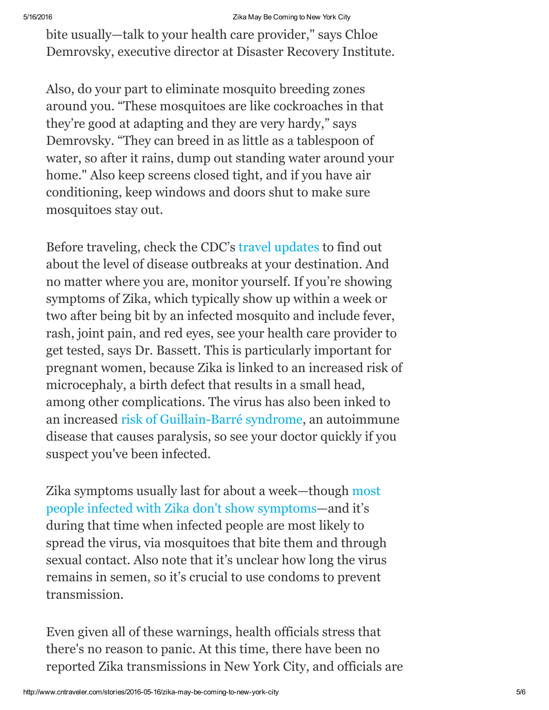bite usually—talk to your health care provider," says Chloe Demrovsky, executive director at Disaster Recovery Institute.

Also, do your part to eliminate mosquito breeding zones around you. "These mosquitoes are like cockroaches in that they're good at adapting and they are very hardy," says Demrovsky. "They can breed in as little as a tablespoon of water, so after it rains, dump out standing water around your home." Also keep screens closed tight, and if you have air conditioning, keep windows and doors shut to make sure mosquitoes stay out.

Before traveling, check the CDC's travel [updates](http://www.cdc.gov/zika/geo/index.html) to find out about the level of disease outbreaks at your destination. And no matter where you are, monitor yourself. If you're showing symptoms of Zika, which typically show up within a week or two after being bit by an infected mosquito and include fever, rash, joint pain, and red eyes, see your health care provider to get tested, says Dr. Bassett. This is particularly important for pregnant women, because Zika is linked to an increased risk of microcephaly, a birth defect that results in a small head, among other complications. The virus has also been inked to an increased risk of Guillain-Barré syndrome, an autoimmune disease that causes paralysis, so see your doctor quickly if you suspect you've been infected.

Zika symptoms usually last for about a week—though most people infected with Zika don't show [symptoms—and](http://www.cdc.gov/zika/symptoms/) it's during that time when infected people are most likely to spread the virus, via mosquitoes that bite them and through sexual contact. Also note that it's unclear how long the virus remains in semen, so it's crucial to use condoms to prevent transmission.

Even given all of these warnings, health officials stress that there's no reason to panic. At this time, there have been no reported Zika transmissions in New York City, and officials are